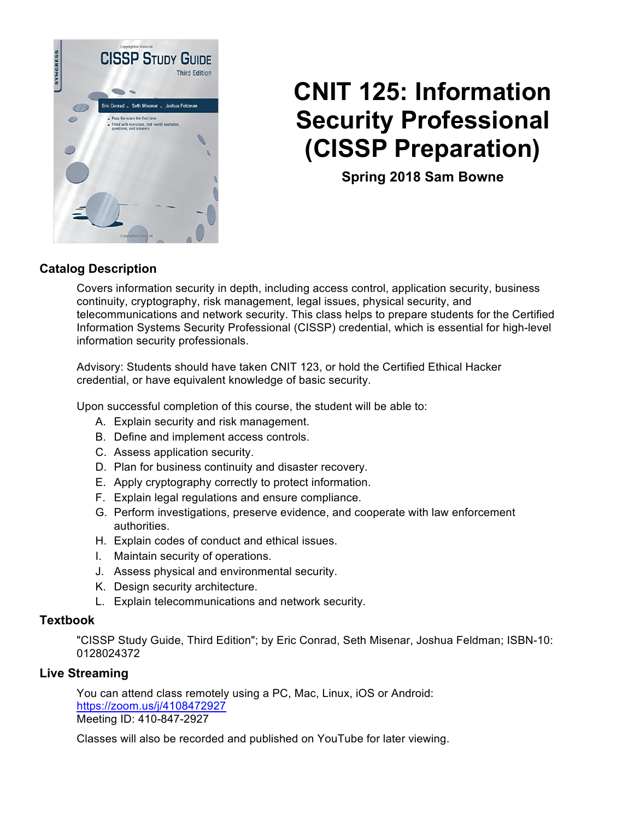

# **CNIT 125: Information Security Professional (CISSP Preparation)**

**Spring 2018 Sam Bowne** 

### **Catalog Description**

Covers information security in depth, including access control, application security, business continuity, cryptography, risk management, legal issues, physical security, and telecommunications and network security. This class helps to prepare students for the Certified Information Systems Security Professional (CISSP) credential, which is essential for high-level information security professionals.

Advisory: Students should have taken CNIT 123, or hold the Certified Ethical Hacker credential, or have equivalent knowledge of basic security.

Upon successful completion of this course, the student will be able to:

- A. Explain security and risk management.
- B. Define and implement access controls.
- C. Assess application security.
- D. Plan for business continuity and disaster recovery.
- E. Apply cryptography correctly to protect information.
- F. Explain legal regulations and ensure compliance.
- G. Perform investigations, preserve evidence, and cooperate with law enforcement authorities.
- H. Explain codes of conduct and ethical issues.
- I. Maintain security of operations.
- J. Assess physical and environmental security.
- K. Design security architecture.
- L. Explain telecommunications and network security.

#### **Textbook**

"CISSP Study Guide, Third Edition"; by Eric Conrad, Seth Misenar, Joshua Feldman; ISBN-10: 0128024372

#### **Live Streaming**

You can attend class remotely using a PC, Mac, Linux, iOS or Android: https://zoom.us/j/4108472927 Meeting ID: 410-847-2927

Classes will also be recorded and published on YouTube for later viewing.